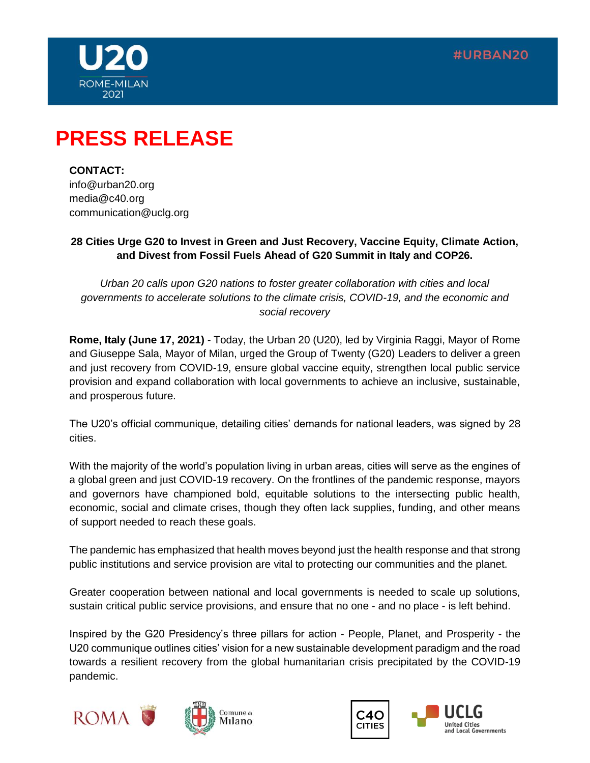



# **PRESS RELEASE**

**CONTACT:**  info@urban20.org media@c40.org communication@uclg.org

## **28 Cities Urge G20 to Invest in Green and Just Recovery, Vaccine Equity, Climate Action, and Divest from Fossil Fuels Ahead of G20 Summit in Italy and COP26.**

*Urban 20 calls upon G20 nations to foster greater collaboration with cities and local governments to accelerate solutions to the climate crisis, COVID-19, and the economic and social recovery* 

**Rome, Italy (June 17, 2021)** - Today, the Urban 20 (U20), led by Virginia Raggi, Mayor of Rome and Giuseppe Sala, Mayor of Milan, urged the Group of Twenty (G20) Leaders to deliver a green and just recovery from COVID-19, ensure global vaccine equity, strengthen local public service provision and expand collaboration with local governments to achieve an inclusive, sustainable, and prosperous future.

The U20's official communique, detailing cities' demands for national leaders, was signed by 28 cities.

With the majority of the world's population living in urban areas, cities will serve as the engines of a global green and just COVID-19 recovery. On the frontlines of the pandemic response, mayors and governors have championed bold, equitable solutions to the intersecting public health, economic, social and climate crises, though they often lack supplies, funding, and other means of support needed to reach these goals.

The pandemic has emphasized that health moves beyond just the health response and that strong public institutions and service provision are vital to protecting our communities and the planet.

Greater cooperation between national and local governments is needed to scale up solutions, sustain critical public service provisions, and ensure that no one - and no place - is left behind.

Inspired by the G20 Presidency's three pillars for action - People, Planet, and Prosperity - the U20 communique outlines cities' vision for a new sustainable development paradigm and the road towards a resilient recovery from the global humanitarian crisis precipitated by the COVID-19 pandemic.





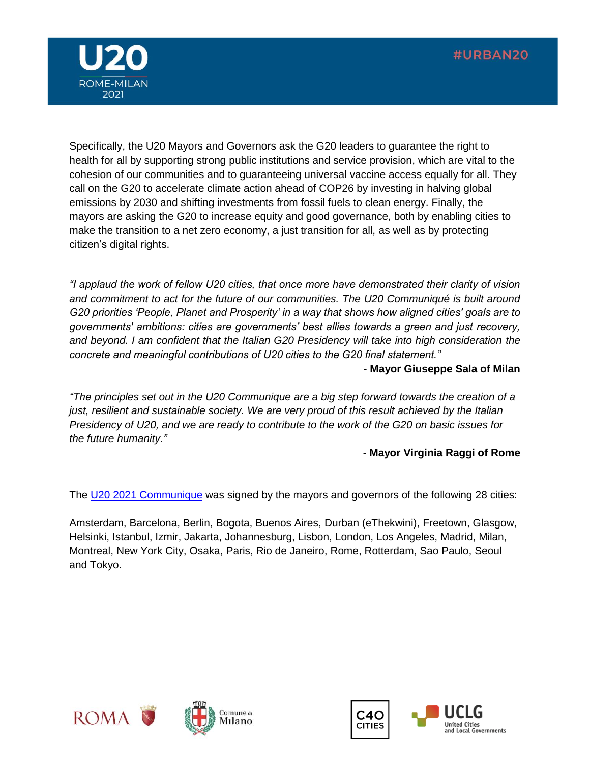

Specifically, the U20 Mayors and Governors ask the G20 leaders to guarantee the right to health for all by supporting strong public institutions and service provision, which are vital to the cohesion of our communities and to guaranteeing universal vaccine access equally for all. They call on the G20 to accelerate climate action ahead of COP26 by investing in halving global emissions by 2030 and shifting investments from fossil fuels to clean energy. Finally, the mayors are asking the G20 to increase equity and good governance, both by enabling cities to make the transition to a net zero economy, a just transition for all, as well as by protecting citizen's digital rights.

*"I applaud the work of fellow U20 cities, that once more have demonstrated their clarity of vision and commitment to act for the future of our communities. The U20 Communiqué is built around G20 priorities 'People, Planet and Prosperity' in a way that shows how aligned cities' goals are to governments' ambitions: cities are governments' best allies towards a green and just recovery, and beyond. I am confident that the Italian G20 Presidency will take into high consideration the concrete and meaningful contributions of U20 cities to the G20 final statement."*

#### **- Mayor Giuseppe Sala of Milan**

*"The principles set out in the U20 Communique are a big step forward towards the creation of a just, resilient and sustainable society. We are very proud of this result achieved by the Italian Presidency of U20, and we are ready to contribute to the work of the G20 on basic issues for the future humanity."*

## **- Mayor Virginia Raggi of Rome**

The [U20 2021 Communique](https://www.urban20.org/wp-content/uploads/2021/06/U20-2021-Communique-Final.pdf) was signed by the mayors and governors of the following 28 cities:

Amsterdam, Barcelona, Berlin, Bogota, Buenos Aires, Durban (eThekwini), Freetown, Glasgow, Helsinki, Istanbul, Izmir, Jakarta, Johannesburg, Lisbon, London, Los Angeles, Madrid, Milan, Montreal, New York City, Osaka, Paris, Rio de Janeiro, Rome, Rotterdam, Sao Paulo, Seoul and Tokyo.



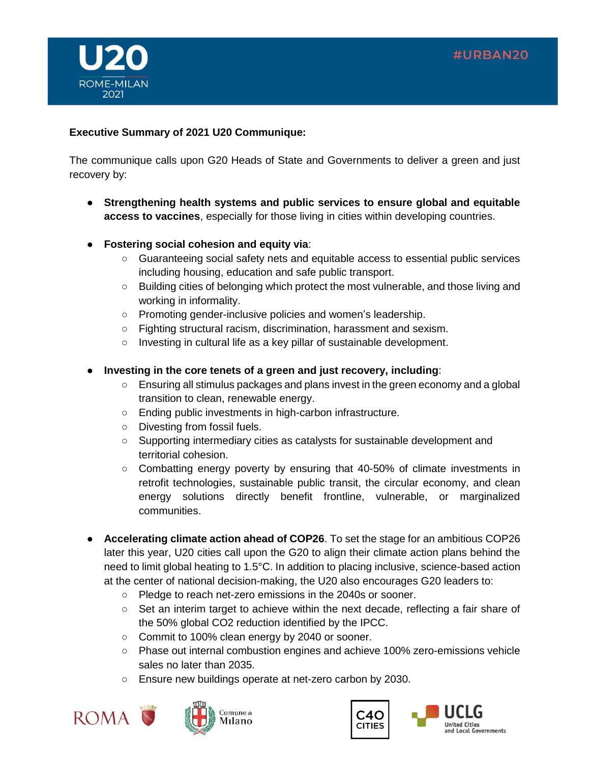



## **Executive Summary of 2021 U20 Communique:**

The communique calls upon G20 Heads of State and Governments to deliver a green and just recovery by:

- **Strengthening health systems and public services to ensure global and equitable access to vaccines**, especially for those living in cities within developing countries.
- **Fostering social cohesion and equity via**:
	- Guaranteeing social safety nets and equitable access to essential public services including housing, education and safe public transport.
	- Building cities of belonging which protect the most vulnerable, and those living and working in informality.
	- Promoting gender-inclusive policies and women's leadership.
	- Fighting structural racism, discrimination, harassment and sexism.
	- Investing in cultural life as a key pillar of sustainable development.
- **Investing in the core tenets of a green and just recovery, including**:
	- Ensuring all stimulus packages and plans invest in the green economy and a global transition to clean, renewable energy.
	- Ending public investments in high-carbon infrastructure.
	- Divesting from fossil fuels.
	- Supporting intermediary cities as catalysts for sustainable development and territorial cohesion.
	- Combatting energy poverty by ensuring that 40-50% of climate investments in retrofit technologies, sustainable public transit, the circular economy, and clean energy solutions directly benefit frontline, vulnerable, or marginalized communities.
- **Accelerating climate action ahead of COP26**. To set the stage for an ambitious COP26 later this year, U20 cities call upon the G20 to align their climate action plans behind the need to limit global heating to 1.5°C. In addition to placing inclusive, science-based action at the center of national decision-making, the U20 also encourages G20 leaders to:
	- Pledge to reach net-zero emissions in the 2040s or sooner.
	- Set an interim target to achieve within the next decade, reflecting a fair share of the 50% global CO2 reduction identified by the IPCC.
	- Commit to 100% clean energy by 2040 or sooner.
	- Phase out internal combustion engines and achieve 100% zero-emissions vehicle sales no later than 2035.
	- Ensure new buildings operate at net-zero carbon by 2030.